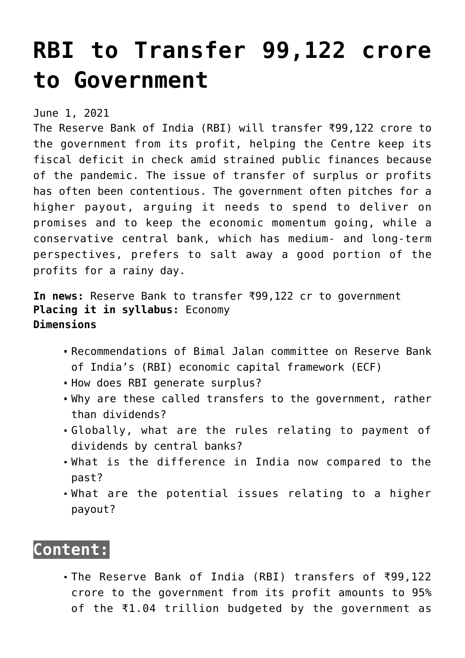# **[RBI to Transfer 99,122 crore](https://journalsofindia.com/rbi-to-transfer-99122-crore-to-government/) [to Government](https://journalsofindia.com/rbi-to-transfer-99122-crore-to-government/)**

June 1, 2021

The Reserve Bank of India (RBI) will transfer ₹99,122 crore to the government from its profit, helping the Centre keep its fiscal deficit in check amid strained public finances because of the pandemic. The issue of transfer of surplus or profits has often been contentious. The government often pitches for a higher payout, arguing it needs to spend to deliver on promises and to keep the economic momentum going, while a conservative central bank, which has medium- and long-term perspectives, prefers to salt away a good portion of the profits for a rainy day.

**In news:** Reserve Bank to transfer ₹99,122 cr to government **Placing it in syllabus:** Economy **Dimensions**

- Recommendations of Bimal Jalan committee on Reserve Bank of India's (RBI) economic capital framework (ECF)
- . How does RBI generate surplus?
- Why are these called transfers to the government, rather than dividends?
- Globally, what are the rules relating to payment of dividends by central banks?
- What is the difference in India now compared to the past?
- What are the potential issues relating to a higher payout?

# **Content:**

The Reserve Bank of India (RBI) transfers of ₹99,122 crore to the government from its profit amounts to 95% of the ₹1.04 trillion budgeted by the government as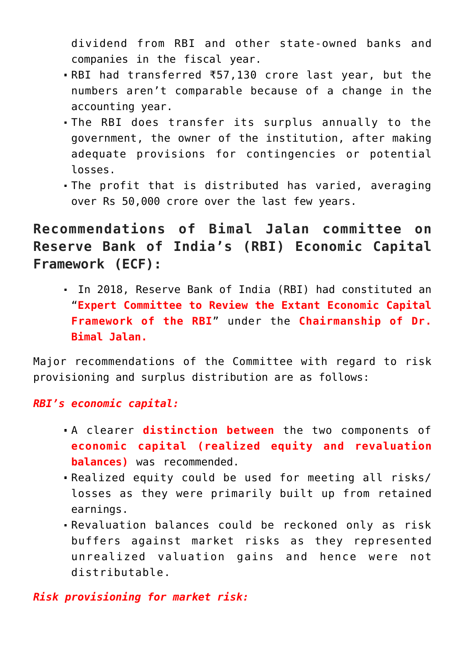dividend from RBI and other state-owned banks and companies in the fiscal year.

- RBI had transferred ₹57,130 crore last year, but the numbers aren't comparable because of a change in the accounting year.
- The RBI does transfer its surplus annually to the government, the owner of the institution, after making adequate provisions for contingencies or potential losses.
- The profit that is distributed has varied, averaging over Rs 50,000 crore over the last few years.

**Recommendations of Bimal Jalan committee on Reserve Bank of India's (RBI) Economic Capital Framework (ECF):**

 In 2018, Reserve Bank of India (RBI) had constituted an "**Expert Committee to Review the Extant Economic Capital Framework of the RBI**" under the **Chairmanship of Dr. Bimal Jalan.** 

Major recommendations of the Committee with regard to risk provisioning and surplus distribution are as follows:

*RBI's economic capital:* 

- A clearer **distinction between** the two components of **economic capital (realized equity and revaluation balances)** was recommended.
- Realized equity could be used for meeting all risks/ losses as they were primarily built up from retained earnings.
- Revaluation balances could be reckoned only as risk buffers against market risks as they represented unrealized valuation gains and hence were not distributable.

*Risk provisioning for market risk:*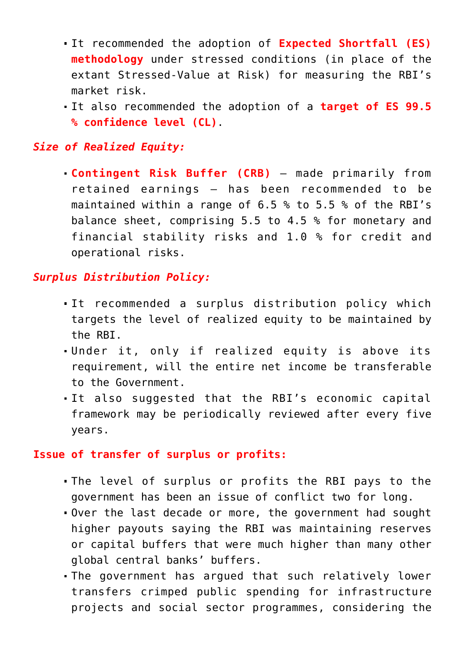- It recommended the adoption of **Expected Shortfall (ES) methodology** under stressed conditions (in place of the extant Stressed-Value at Risk) for measuring the RBI's market risk.
- It also recommended the adoption of a **target of ES 99.5 % confidence level (CL)**.

#### *Size of Realized Equity:*

**Contingent Risk Buffer (CRB)** – made primarily from retained earnings – has been recommended to be maintained within a range of 6.5 % to 5.5 % of the RBI's balance sheet, comprising 5.5 to 4.5 % for monetary and financial stability risks and 1.0 % for credit and operational risks.

#### *Surplus Distribution Policy:*

- It recommended a surplus distribution policy which targets the level of realized equity to be maintained by the RBI.
- Under it, only if realized equity is above its requirement, will the entire net income be transferable to the Government.
- It also suggested that the RBI's economic capital framework may be periodically reviewed after every five years.

#### **Issue of transfer of surplus or profits:**

- The level of surplus or profits the RBI pays to the government has been an issue of conflict two for long.
- Over the last decade or more, the government had sought higher payouts saying the RBI was maintaining reserves or capital buffers that were much higher than many other global central banks' buffers.
- The government has argued that such relatively lower transfers crimped public spending for infrastructure projects and social sector programmes, considering the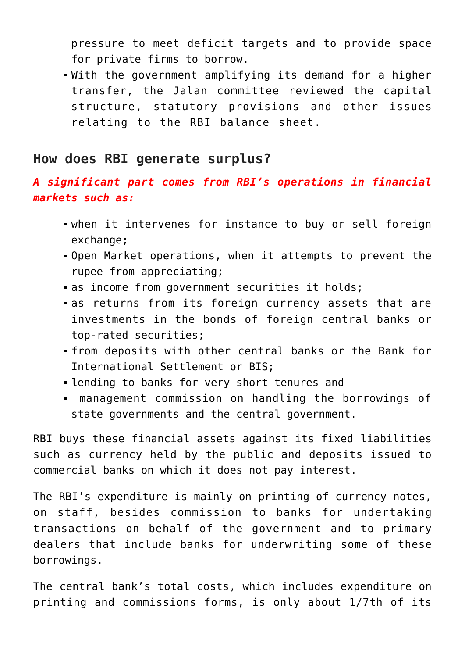pressure to meet deficit targets and to provide space for private firms to borrow.

With the government amplifying its demand for a higher transfer, the Jalan committee reviewed the capital structure, statutory provisions and other issues relating to the RBI balance sheet.

## **How does RBI generate surplus?**

### *A significant part comes from RBI's operations in financial markets such as:*

- when it intervenes for instance to buy or sell foreign exchange;
- Open Market operations, when it attempts to prevent the rupee from appreciating;
- as income from government securities it holds;
- as returns from its foreign currency assets that are investments in the bonds of foreign central banks or top-rated securities;
- from deposits with other central banks or the Bank for International Settlement or BIS;
- lending to banks for very short tenures and
- management commission on handling the borrowings of state governments and the central government.

RBI buys these financial assets against its fixed liabilities such as currency held by the public and deposits issued to commercial banks on which it does not pay interest.

The RBI's expenditure is mainly on printing of currency notes, on staff, besides commission to banks for undertaking transactions on behalf of the government and to primary dealers that include banks for underwriting some of these borrowings.

The central bank's total costs, which includes expenditure on printing and commissions forms, is only about 1/7th of its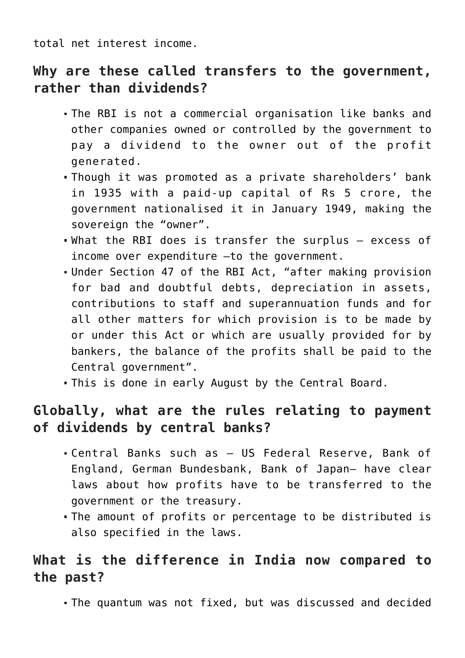total net interest income.

## **Why are these called transfers to the government, rather than dividends?**

- The RBI is not a commercial organisation like banks and other companies owned or controlled by the government to pay a dividend to the owner out of the profit generated.
- Though it was promoted as a private shareholders' bank in 1935 with a paid-up capital of Rs 5 crore, the government nationalised it in January 1949, making the sovereign the "owner".
- What the RBI does is transfer the surplus excess of income over expenditure —to the government.
- Under Section 47 of the RBI Act, "after making provision for bad and doubtful debts, depreciation in assets, contributions to staff and superannuation funds and for all other matters for which provision is to be made by or under this Act or which are usually provided for by bankers, the balance of the profits shall be paid to the Central government".
- This is done in early August by the Central Board.

## **Globally, what are the rules relating to payment of dividends by central banks?**

- Central Banks such as US Federal Reserve, Bank of England, German Bundesbank, Bank of Japan— have clear laws about how profits have to be transferred to the government or the treasury.
- The amount of profits or percentage to be distributed is also specified in the laws.

## **What is the difference in India now compared to the past?**

The quantum was not fixed, but was discussed and decided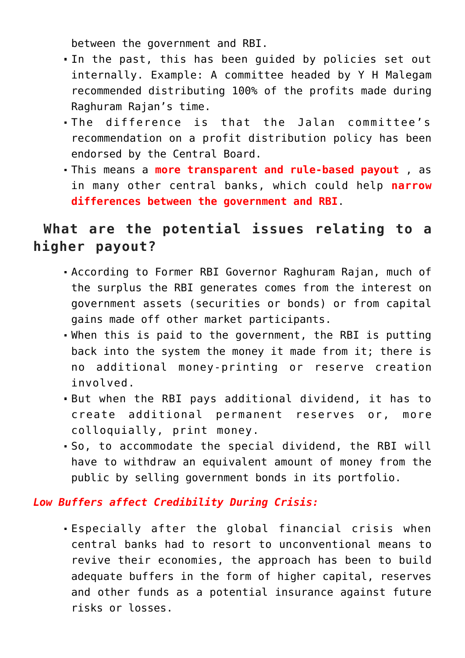between the government and RBI.

- In the past, this has been guided by policies set out internally. Example: A committee headed by Y H Malegam recommended distributing 100% of the profits made during Raghuram Rajan's time.
- The difference is that the Jalan committee's recommendation on a profit distribution policy has been endorsed by the Central Board.
- This means a **more transparent and rule-based payout** , as in many other central banks, which could help **narrow differences between the government and RBI**.

## **What are the potential issues relating to a higher payout?**

- According to Former RBI Governor Raghuram Rajan, much of the surplus the RBI generates comes from the interest on government assets (securities or bonds) or from capital gains made off other market participants.
- When this is paid to the government, the RBI is putting back into the system the money it made from it; there is no additional money-printing or reserve creation involved.
- But when the RBI pays additional dividend, it has to create additional permanent reserves or, more colloquially, print money.
- So, to accommodate the special dividend, the RBI will have to withdraw an equivalent amount of money from the public by selling government bonds in its portfolio.

#### *Low Buffers affect Credibility During Crisis:*

Especially after the global financial crisis when central banks had to resort to unconventional means to revive their economies, the approach has been to build adequate buffers in the form of higher capital, reserves and other funds as a potential insurance against future risks or losses.